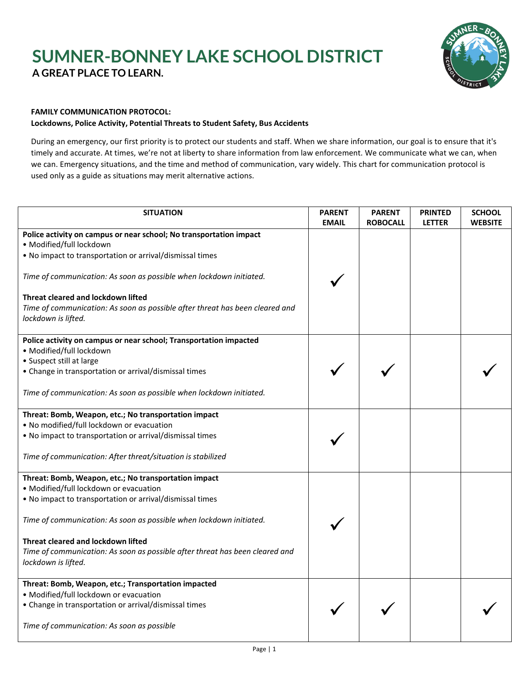## **SUMNER-BONNEY LAKE SCHOOL DISTRICT A GREAT PLACE TO LEARN.**



## **FAMILY COMMUNICATION PROTOCOL:**

## **Lockdowns, Police Activity, Potential Threats to Student Safety, Bus Accidents**

During an emergency, our first priority is to protect our students and staff. When we share information, our goal is to ensure that it's timely and accurate. At times, we're not at liberty to share information from law enforcement. We communicate what we can, when we can. Emergency situations, and the time and method of communication, vary widely. This chart for communication protocol is used only as a guide as situations may merit alternative actions.

| <b>SITUATION</b>                                                                                                                          | <b>PARENT</b><br><b>EMAIL</b> | <b>PARENT</b><br><b>ROBOCALL</b> | <b>PRINTED</b><br><b>LETTER</b> | <b>SCHOOL</b><br><b>WEBSITE</b> |
|-------------------------------------------------------------------------------------------------------------------------------------------|-------------------------------|----------------------------------|---------------------------------|---------------------------------|
| Police activity on campus or near school; No transportation impact<br>· Modified/full lockdown                                            |                               |                                  |                                 |                                 |
| . No impact to transportation or arrival/dismissal times                                                                                  |                               |                                  |                                 |                                 |
| Time of communication: As soon as possible when lockdown initiated.                                                                       |                               |                                  |                                 |                                 |
| Threat cleared and lockdown lifted<br>Time of communication: As soon as possible after threat has been cleared and<br>lockdown is lifted. |                               |                                  |                                 |                                 |
| Police activity on campus or near school; Transportation impacted<br>· Modified/full lockdown                                             |                               |                                  |                                 |                                 |
| • Suspect still at large<br>• Change in transportation or arrival/dismissal times                                                         |                               |                                  |                                 |                                 |
| Time of communication: As soon as possible when lockdown initiated.                                                                       |                               |                                  |                                 |                                 |
| Threat: Bomb, Weapon, etc.; No transportation impact<br>. No modified/full lockdown or evacuation                                         |                               |                                  |                                 |                                 |
| . No impact to transportation or arrival/dismissal times                                                                                  |                               |                                  |                                 |                                 |
| Time of communication: After threat/situation is stabilized                                                                               |                               |                                  |                                 |                                 |
| Threat: Bomb, Weapon, etc.; No transportation impact<br>· Modified/full lockdown or evacuation                                            |                               |                                  |                                 |                                 |
| . No impact to transportation or arrival/dismissal times                                                                                  |                               |                                  |                                 |                                 |
| Time of communication: As soon as possible when lockdown initiated.                                                                       |                               |                                  |                                 |                                 |
| Threat cleared and lockdown lifted                                                                                                        |                               |                                  |                                 |                                 |
| Time of communication: As soon as possible after threat has been cleared and<br>lockdown is lifted.                                       |                               |                                  |                                 |                                 |
| Threat: Bomb, Weapon, etc.; Transportation impacted                                                                                       |                               |                                  |                                 |                                 |
| · Modified/full lockdown or evacuation<br>• Change in transportation or arrival/dismissal times                                           |                               |                                  |                                 |                                 |
| Time of communication: As soon as possible                                                                                                |                               |                                  |                                 |                                 |